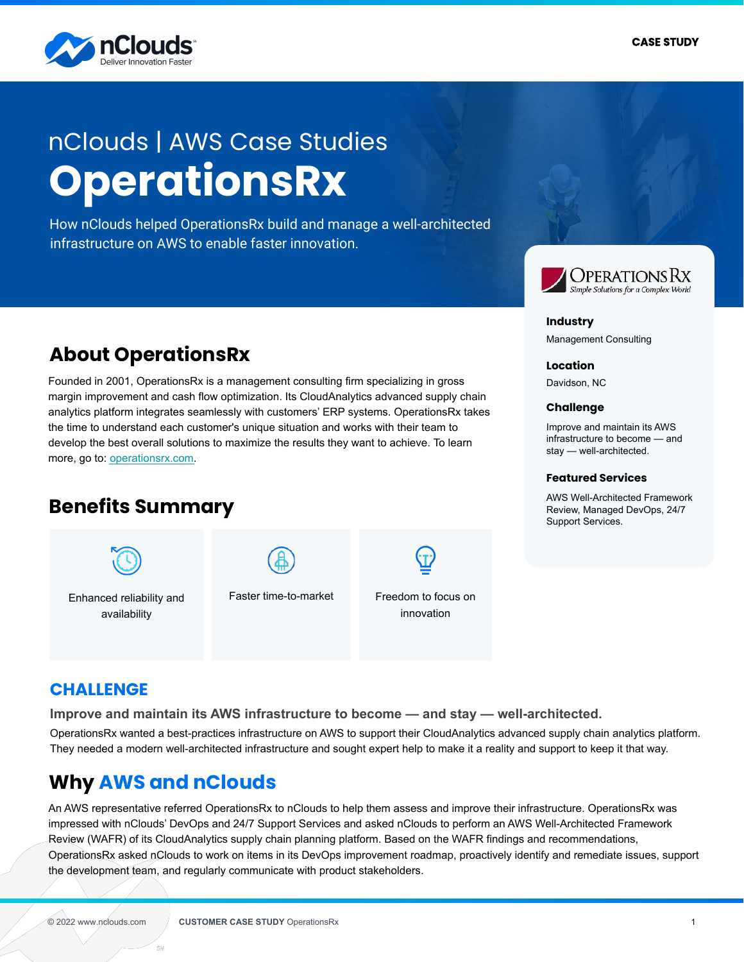

# **OperationsRx** nClouds | AWS Case Studies

How nClouds helped OperationsRx build and manage a well-architected infrastructure on AWS to enable faster innovation.

# **About OperationsRx**

Founded in 2001, OperationsRx is a management consulting firm specializing in gross margin improvement and cash flow optimization. Its CloudAnalytics advanced supply chain analytics platform integrates seamlessly with customers' ERP systems. OperationsRx takes the time to understand each customer's unique situation and works with their team to develop the best overall solutions to maximize the results they want to achieve. To learn more, go to: [operationsrx.com](http://www.operationsrx.com/).

# **Benefits Summary**



Enhanced reliability and availability



Faster time-to-market Freedom to focus on innovation



#### **Industry**

Management Consulting

#### **Location**

Davidson, NC

#### **Challenge**

Improve and maintain its AWS infrastructure to become — and stay — well-architected.

#### **Featured Services**

AWS Well-Architected Framework Review, Managed DevOps, 24/7 Support Services.

# **CHALLENGE**

**Improve and maintain its AWS infrastructure to become — and stay — well-architected.**

OperationsRx wanted a best-practices infrastructure on AWS to support their CloudAnalytics advanced supply chain analytics platform. They needed a modern well-architected infrastructure and sought expert help to make it a reality and support to keep it that way.

# **Why AWS and nClouds**

An AWS representative referred OperationsRx to nClouds to help them assess and improve their infrastructure. OperationsRx was impressed with nClouds' DevOps and 24/7 Support Services and asked nClouds to perform an AWS Well-Architected Framework Review (WAFR) of its CloudAnalytics supply chain planning platform. Based on the WAFR findings and recommendations, OperationsRx asked nClouds to work on items in its DevOps improvement roadmap, proactively identify and remediate issues, support the development team, and regularly communicate with product stakeholders.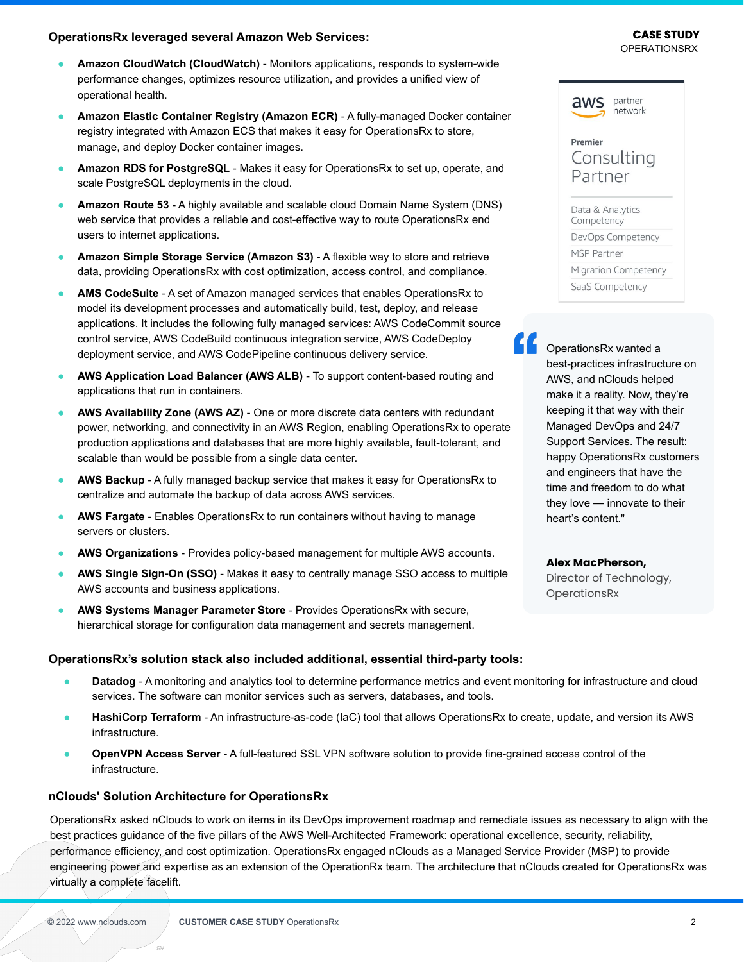#### **OperationsRx leveraged several Amazon Web Services:**

- **Amazon CloudWatch (CloudWatch)** Monitors applications, responds to system-wide performance changes, optimizes resource utilization, and provides a unified view of operational health.
- **Amazon Elastic Container Registry (Amazon ECR)** A fully-managed Docker container registry integrated with Amazon ECS that makes it easy for OperationsRx to store, manage, and deploy Docker container images.
- **Amazon RDS for PostgreSQL** Makes it easy for OperationsRx to set up, operate, and scale PostgreSQL deployments in the cloud.
- **Amazon Route 53**  A highly available and scalable cloud Domain Name System (DNS) web service that provides a reliable and cost-effective way to route OperationsRx end users to internet applications.
- **Amazon Simple Storage Service (Amazon S3)** A flexible way to store and retrieve data, providing OperationsRx with cost optimization, access control, and compliance.
- AMS CodeSuite A set of Amazon managed services that enables OperationsRx to model its development processes and automatically build, test, deploy, and release applications. It includes the following fully managed services: AWS CodeCommit source control service, AWS CodeBuild continuous integration service, AWS CodeDeploy deployment service, and AWS CodePipeline continuous delivery service.
- AWS Application Load Balancer (AWS ALB) To support content-based routing and applications that run in containers.
- AWS Availability Zone (AWS AZ) One or more discrete data centers with redundant power, networking, and connectivity in an AWS Region, enabling OperationsRx to operate production applications and databases that are more highly available, fault-tolerant, and scalable than would be possible from a single data center.
- AWS Backup A fully managed backup service that makes it easy for OperationsRx to centralize and automate the backup of data across AWS services.
- **AWS Fargate** Enables OperationsRx to run containers without having to manage servers or clusters.
- AWS Organizations Provides policy-based management for multiple AWS accounts.
- **AWS Single Sign-On (SSO)** Makes it easy to centrally manage SSO access to multiple AWS accounts and business applications.
- **AWS Systems Manager Parameter Store** Provides OperationsRx with secure, hierarchical storage for configuration data management and secrets management.

### **OperationsRx's solution stack also included additional, essential third-party tools:**

- **Datadog** A monitoring and analytics tool to determine performance metrics and event monitoring for infrastructure and cloud services. The software can monitor services such as servers, databases, and tools.
- **HashiCorp Terraform** An infrastructure-as-code (IaC) tool that allows OperationsRx to create, update, and version its AWS infrastructure.
- **OpenVPN Access Server** A full-featured SSL VPN software solution to provide fine-grained access control of the infrastructure.

### **nClouds' Solution Architecture for OperationsRx**

OperationsRx asked nClouds to work on items in its DevOps improvement roadmap and remediate issues as necessary to align with the best practices guidance of the five pillars of the AWS Well-Architected Framework: operational excellence, security, reliability, performance efficiency, and cost optimization. OperationsRx engaged nClouds as a Managed Service Provider (MSP) to provide engineering power and expertise as an extension of the OperationRx team. The architecture that nClouds created for OperationsRx was virtually a complete facelift.

es c

#### OPERATIONSRX **CASE STUDY**



### Premier Consulting Partner

Data & Analytics Competency DevOps Competency MSP Partner Migration Competency SaaS Competency

"

OperationsRx wanted a best-practices infrastructure on AWS, and nClouds helped make it a reality. Now, they're keeping it that way with their Managed DevOps and 24/7 Support Services. The result: happy OperationsRx customers and engineers that have the time and freedom to do what they love — innovate to their heart's content."

#### **Alex MacPherson,**

Director of Technology, **OperationsRx**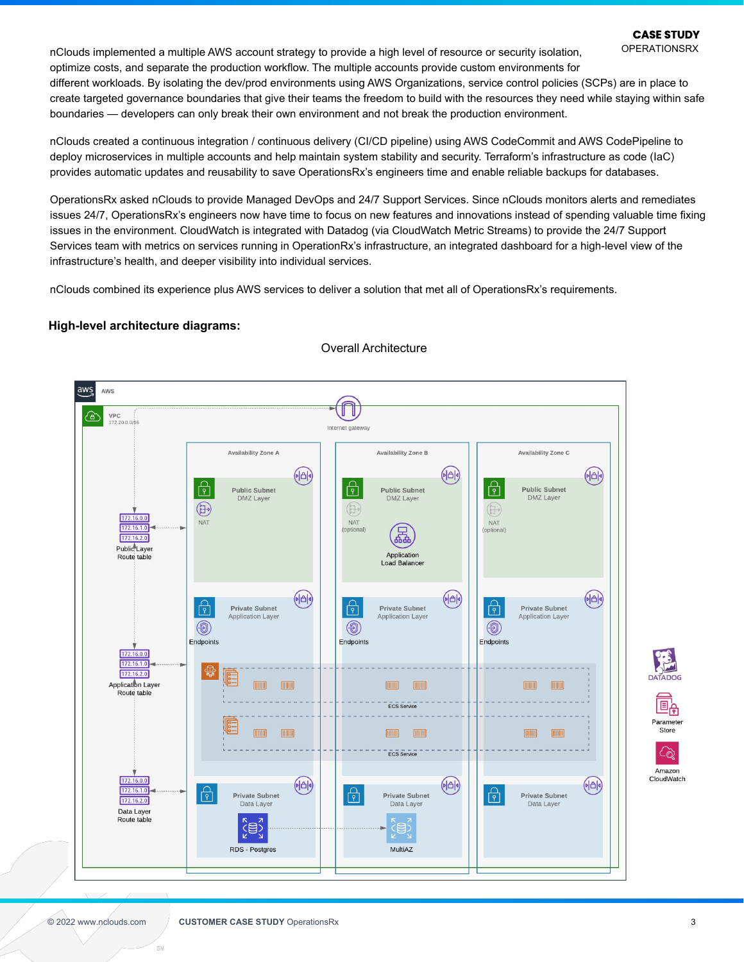**OPERATIONSRX** 

nClouds implemented a multiple AWS account strategy to provide a high level of resource or security isolation, optimize costs, and separate the production workflow. The multiple accounts provide custom environments for different workloads. By isolating the dev/prod environments using AWS Organizations, service control policies (SCPs) are in place to create targeted governance boundaries that give their teams the freedom to build with the resources they need while staying within safe boundaries — developers can only break their own environment and not break the production environment.

nClouds created a continuous integration / continuous delivery (CI/CD pipeline) using AWS CodeCommit and AWS CodePipeline to deploy microservices in multiple accounts and help maintain system stability and security. Terraform's infrastructure as code (IaC) provides automatic updates and reusability to save OperationsRx's engineers time and enable reliable backups for databases.

OperationsRx asked nClouds to provide Managed DevOps and 24/7 Support Services. Since nClouds monitors alerts and remediates issues 24/7, OperationsRx's engineers now have time to focus on new features and innovations instead of spending valuable time fixing issues in the environment. CloudWatch is integrated with Datadog (via CloudWatch Metric Streams) to provide the 24/7 Support Services team with metrics on services running in OperationRx's infrastructure, an integrated dashboard for a high-level view of the infrastructure's health, and deeper visibility into individual services.

nClouds combined its experience plus AWS services to deliver a solution that met all of OperationsRx's requirements.

#### **High-level architecture diagrams:**



Overall Architecture

es c